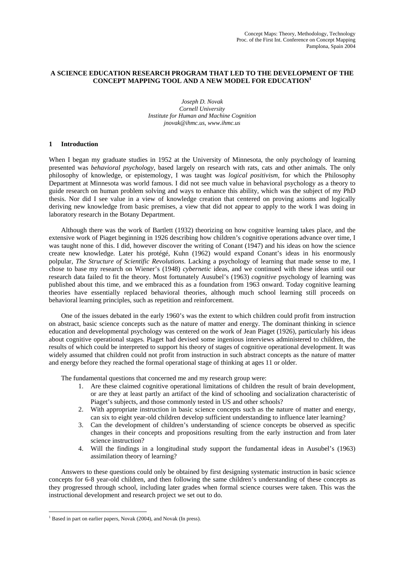# **A SCIENCE EDUCATION RESEARCH PROGRAM THAT LED TO THE DEVELOPMENT OF THE CONCEPT MAPPING TOOL AND A NEW MODEL FOR EDUCATION1**

*Joseph D. Novak Cornell University Institute for Human and Machine Cognition jnovak@ihmc.us, www.ihmc.us* 

## **1 Introduction**

When I began my graduate studies in 1952 at the University of Minnesota, the only psychology of learning presented was *behavioral psychology*, based largely on research with rats, cats and other animals. The only philosophy of knowledge, or epistemology, I was taught was *logical positivism*, for which the Philosophy Department at Minnesota was world famous. I did not see much value in behavioral psychology as a theory to guide research on human problem solving and ways to enhance this ability, which was the subject of my PhD thesis. Nor did I see value in a view of knowledge creation that centered on proving axioms and logically deriving new knowledge from basic premises, a view that did not appear to apply to the work I was doing in laboratory research in the Botany Department.

Although there was the work of Bartlett (1932) theorizing on how cognitive learning takes place, and the extensive work of Piaget beginning in 1926 describing how children's cognitive operations advance over time, I was taught none of this. I did, however discover the writing of Conant (1947) and his ideas on how the science create new knowledge. Later his protégé, Kuhn (1962) would expand Conant's ideas in his enormously polpular, *The Structure of Scientific Revolutions*. Lacking a psychology of learning that made sense to me, I chose to base my research on Wiener's (1948) *cybernetic* ideas, and we continued with these ideas until our research data failed to fit the theory. Most fortunately Ausubel's (1963) *cognitive* psychology of learning was published about this time, and we embraced this as a foundation from 1963 onward. Today cognitive learning theories have essentially replaced behavioral theories, although much school learning still proceeds on behavioral learning principles, such as repetition and reinforcement.

One of the issues debated in the early 1960's was the extent to which children could profit from instruction on abstract, basic science concepts such as the nature of matter and energy. The dominant thinking in science education and developmental psychology was centered on the work of Jean Piaget (1926), particularly his ideas about cognitive operational stages. Piaget had devised some ingenious interviews administered to children, the results of which could be interpreted to support his theory of stages of cognitive operational development. It was widely assumed that children could not profit from instruction in such abstract concepts as the nature of matter and energy before they reached the formal operational stage of thinking at ages 11 or older.

The fundamental questions that concerned me and my research group were:

- 1. Are these claimed cognitive operational limitations of children the result of brain development, or are they at least partly an artifact of the kind of schooling and socialization characteristic of Piaget's subjects, and those commonly tested in US and other schools?
- 2. With appropriate instruction in basic science concepts such as the nature of matter and energy, can six to eight year-old children develop sufficient understanding to influence later learning?
- 3. Can the development of children's understanding of science concepts be observed as specific changes in their concepts and propositions resulting from the early instruction and from later science instruction?
- 4. Will the findings in a longitudinal study support the fundamental ideas in Ausubel's (1963) assimilation theory of learning?

Answers to these questions could only be obtained by first designing systematic instruction in basic science concepts for 6-8 year-old children, and then following the same children's understanding of these concepts as they progressed through school, including later grades when formal science courses were taken. This was the instructional development and research project we set out to do.

<sup>&</sup>lt;sup>1</sup> Based in part on earlier papers, Novak (2004), and Novak (In press).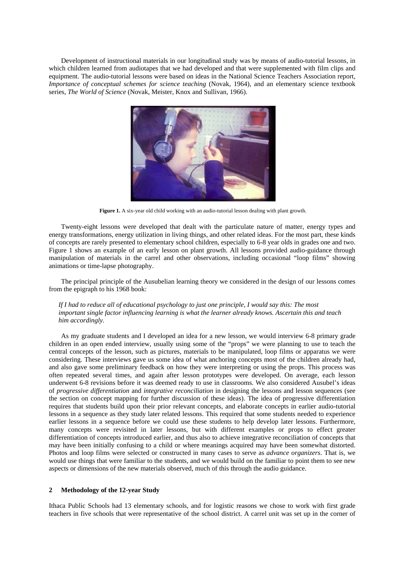Development of instructional materials in our longitudinal study was by means of audio-tutorial lessons, in which children learned from audiotapes that we had developed and that were supplemented with film clips and equipment. The audio-tutorial lessons were based on ideas in the National Science Teachers Association report*, Importance of conceptual schemes for science teaching (Novak, 1964), and an elementary science textbook* series, *The World of Science* (Novak, Meister, Knox and Sullivan, 1966).



**Figure 1.** A six-year old child working with an audio-tutorial lesson dealing with plant growth.

Twenty-eight lessons were developed that dealt with the particulate nature of matter, energy types and energy transformations, energy utilization in living things, and other related ideas. For the most part, these kinds of concepts are rarely presented to elementary school children, especially to 6-8 year olds in grades one and two. Figure 1 shows an example of an early lesson on plant growth. All lessons provided audio-guidance through manipulation of materials in the carrel and other observations, including occasional "loop films" showing animations or time-lapse photography.

The principal principle of the Ausubelian learning theory we considered in the design of our lessons comes from the epigraph to his 1968 book:

*If I had to reduce all of educational psychology to just one principle, I would say this: The most important single factor influencing learning is what the learner already knows. Ascertain this and teach him accordingly.* 

As my graduate students and I developed an idea for a new lesson, we would interview 6-8 primary grade children in an open ended interview, usually using some of the "props" we were planning to use to teach the central concepts of the lesson, such as pictures, materials to be manipulated, loop films or apparatus we were considering. These interviews gave us some idea of what anchoring concepts most of the children already had, and also gave some preliminary feedback on how they were interpreting or using the props. This process was often repeated several times, and again after lesson prototypes were developed. On average, each lesson underwent 6-8 revisions before it was deemed ready to use in classrooms. We also considered Ausubel's ideas of *progressive differentiation* and *integrative reconciliation* in designing the lessons and lesson sequences (see the section on concept mapping for further discussion of these ideas). The idea of progressive differentiation requires that students build upon their prior relevant concepts, and elaborate concepts in earlier audio-tutorial lessons in a sequence as they study later related lessons. This required that some students needed to experience earlier lessons in a sequence before we could use these students to help develop later lessons. Furthermore, many concepts were revisited in later lessons, but with different examples or props to effect greater differentiation of concepts introduced earlier, and thus also to achieve integrative reconciliation of concepts that may have been initially confusing to a child or where meanings acquired may have been somewhat distorted. Photos and loop films were selected or constructed in many cases to serve as *advance organizers*. That is, we would use things that were familiar to the students, and we would build on the familiar to point them to see new aspects or dimensions of the new materials observed, much of this through the audio guidance.

## **2 Methodology of the 12-year Study**

Ithaca Public Schools had 13 elementary schools, and for logistic reasons we chose to work with first grade teachers in five schools that were representative of the school district. A carrel unit was set up in the corner of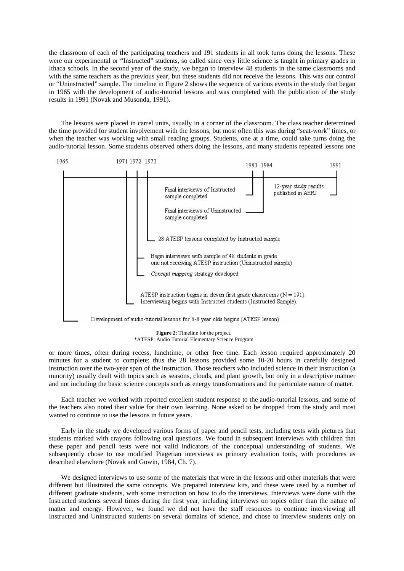the classroom of each of the participating teachers and 191 students in all took turns doing the lessons. These were our experimental or "Instructed" students, so called since very little science is taught in primary grades in Ithaca schools. In the second year of the study, we began to interview 48 students in the same classrooms and with the same teachers as the previous year, but these students did not receive the lessons. This was our control or "Uninstructed" sample. The timeline in Figure 2 shows the sequence of various events in the study that began in 1965 with the development of audio-tutorial lessons and was completed with the publication of the study results in 1991 (Novak and Musonda, 1991).

The lessons were placed in carrel units, usually in a corner of the classroom. The class teacher determined the time provided for student involvement with the lessons, but most often this was during "seat-work" times, or when the teacher was working with small reading groups. Students, one at a time, could take turns doing the audio-tutorial lesson. Some students observed others doing the lessons, and many students repeated lessons one



\*ATESP: Audio Tutorial Elementary Science Program

or more times, often during recess, lunchtime, or other free time. Each lesson required approximately 20 minutes for a student to complete; thus the 28 lessons provided some 10-20 hours in carefully designed instruction over the two-year span of the instruction. Those teachers who included science in their instruction (a minority) usually dealt with topics such as seasons, clouds, and plant growth, but only in a descriptive manner and not including the basic science concepts such as energy transformations and the particulate nature of matter.

Each teacher we worked with reported excellent student response to the audio-tutorial lessons, and some of the teachers also noted their value for their own learning. None asked to be dropped from the study and most wanted to continue to use the lessons in future years.

Early in the study we developed various forms of paper and pencil tests, including tests with pictures that students marked with crayons following oral questions. We found in subsequent interviews with children that these paper and pencil tests were not valid indicators of the conceptual understanding of students. We subsequently chose to use modified Piagetian interviews as primary evaluation tools, with procedures as described elsewhere (Novak and Gowin, 1984, Ch. 7).

We designed interviews to use some of the materials that were in the lessons and other materials that were different but illustrated the same concepts. We prepared interview kits, and these were used by a number of different graduate students, with some instruction on how to do the interviews. Interviews were done with the Instructed students several times during the first year, including interviews on topics other than the nature of matter and energy. However, we found we did not have the staff resources to continue interviewing all Instructed and Uninstructed students on several domains of science, and chose to interview students only on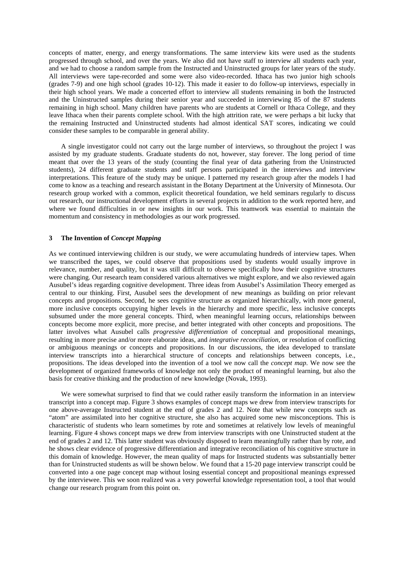concepts of matter, energy, and energy transformations. The same interview kits were used as the students progressed through school, and over the years. We also did not have staff to interview all students each year, and we had to choose a random sample from the Instructed and Uninstructed groups for later years of the study. All interviews were tape-recorded and some were also video-recorded. Ithaca has two junior high schools (grades 7-9) and one high school (grades 10-12). This made it easier to do follow-up interviews, especially in their high school years. We made a concerted effort to interview all students remaining in both the Instructed and the Uninstructed samples during their senior year and succeeded in interviewing 85 of the 87 students remaining in high school. Many children have parents who are students at Cornell or Ithaca College, and they leave Ithaca when their parents complete school. With the high attrition rate, we were perhaps a bit lucky that the remaining Instructed and Uninstructed students had almost identical SAT scores, indicating we could consider these samples to be comparable in general ability.

A single investigator could not carry out the large number of interviews, so throughout the project I was assisted by my graduate students. Graduate students do not, however, stay forever. The long period of time meant that over the 13 years of the study (counting the final year of data gathering from the Uninstructed students), 24 different graduate students and staff persons participated in the interviews and interview interpretations. This feature of the study may be unique. I patterned my research group after the models I had come to know as a teaching and research assistant in the Botany Department at the University of Minnesota. Our research group worked with a common, explicit theoretical foundation, we held seminars regularly to discuss out research, our instructional development efforts in several projects in addition to the work reported here, and where we found difficulties in or new insights in our work. This teamwork was essential to maintain the momentum and consistency in methodologies as our work progressed.

### **3 The Invention of** *Concept Mapping*

As we continued interviewing children is our study, we were accumulating hundreds of interview tapes. When we transcribed the tapes, we could observe that propositions used by students would usually improve in relevance, number, and quality, but it was still difficult to observe specifically how their cognitive structures were changing. Our research team considered various alternatives we might explore, and we also reviewed again Ausubel's ideas regarding cognitive development. Three ideas from Ausubel's Assimilation Theory emerged as central to our thinking. First, Ausubel sees the development of new meanings as building on prior relevant concepts and propositions. Second, he sees cognitive structure as organized hierarchically, with more general, more inclusive concepts occupying higher levels in the hierarchy and more specific, less inclusive concepts subsumed under the more general concepts. Third, when meaningful learning occurs, relationships between concepts become more explicit, more precise, and better integrated with other concepts and propositions. The latter involves what Ausubel calls *progressive differentiation* of conceptual and propositional meanings, resulting in more precise and/or more elaborate ideas, and *integrative reconciliation,* or resolution of conflicting or ambiguous meanings or concepts and propositions. In our discussions, the idea developed to translate interview transcripts into a hierarchical structure of concepts and relationships between concepts, i.e., propositions. The ideas developed into the invention of a tool we now call the *concept map*. We now see the development of organized frameworks of knowledge not only the product of meaningful learning, but also the basis for creative thinking and the production of new knowledge (Novak, 1993).

We were somewhat surprised to find that we could rather easily transform the information in an interview transcript into a concept map. Figure 3 shows examples of concept maps we drew from interview transcripts for one above-average Instructed student at the end of grades 2 and 12. Note that while new concepts such as "atom" are assimilated into her cognitive structure, she also has acquired some new misconceptions. This is characteristic of students who learn sometimes by rote and sometimes at relatively low levels of meaningful learning. Figure 4 shows concept maps we drew from interview transcripts with one Uninstructed student at the end of grades 2 and 12. This latter student was obviously disposed to learn meaningfully rather than by rote, and he shows clear evidence of progressive differentiation and integrative reconciliation of his cognitive structure in this domain of knowledge. However, the mean quality of maps for Instructed students was substantially better than for Uninstructed students as will be shown below. We found that a 15-20 page interview transcript could be converted into a one page concept map without losing essential concept and propositional meanings expressed by the interviewee. This we soon realized was a very powerful knowledge representation tool, a tool that would change our research program from this point on.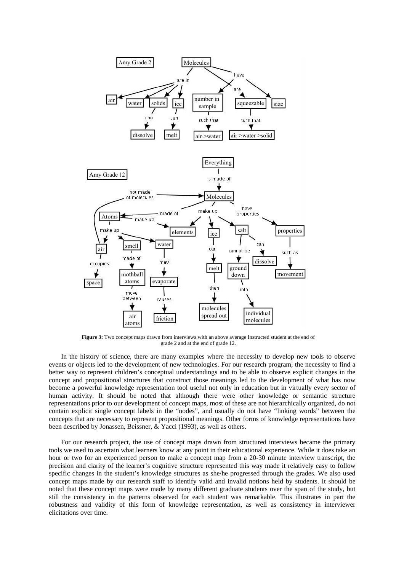

**Figure 3:** Two concept maps drawn from interviews with an above average Instructed student at the end of grade 2 and at the end of grade 12.

In the history of science, there are many examples where the necessity to develop new tools to observe events or objects led to the development of new technologies. For our research program, the necessity to find a better way to represent children's conceptual understandings and to be able to observe explicit changes in the concept and propositional structures that construct those meanings led to the development of what has now become a powerful knowledge representation tool useful not only in education but in virtually every sector of human activity. It should be noted that although there were other knowledge or semantic structure representations prior to our development of concept maps, most of these are not hierarchically organized, do not contain explicit single concept labels in the "nodes", and usually do not have "linking words" between the concepts that are necessary to represent propositional meanings. Other forms of knowledge representations have been described by Jonassen, Beissner, & Yacci (1993), as well as others.

For our research project, the use of concept maps drawn from structured interviews became the primary tools we used to ascertain what learners know at any point in their educational experience. While it does take an hour or two for an experienced person to make a concept map from a 20-30 minute interview transcript, the precision and clarity of the learner's cognitive structure represented this way made it relatively easy to follow specific changes in the student's knowledge structures as she/he progressed through the grades. We also used concept maps made by our research staff to identify valid and invalid notions held by students. It should be noted that these concept maps were made by many different graduate students over the span of the study, but still the consistency in the patterns observed for each student was remarkable. This illustrates in part the robustness and validity of this form of knowledge representation, as well as consistency in interviewer elicitations over time.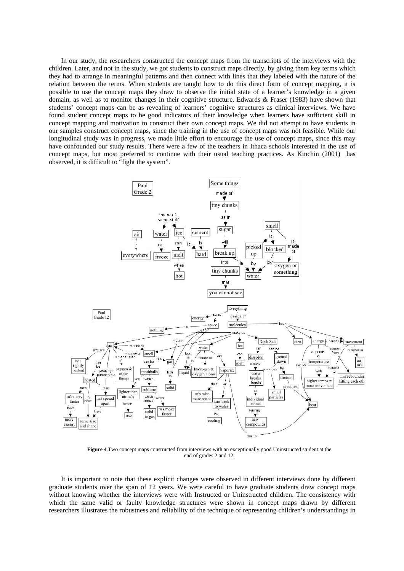In our study, the researchers constructed the concept maps from the transcripts of the interviews with the children. Later, and not in the study, we got students to construct maps directly, by giving them key terms which they had to arrange in meaningful patterns and then connect with lines that they labeled with the nature of the relation between the terms. When students are taught how to do this direct form of concept mapping, it is possible to use the concept maps they draw to observe the initial state of a learner's knowledge in a given domain, as well as to monitor changes in their cognitive structure. Edwards & Fraser (1983) have shown that students' concept maps can be as revealing of learners' cognitive structures as clinical interviews. We have found student concept maps to be good indicators of their knowledge when learners have sufficient skill in concept mapping and motivation to construct their own concept maps. We did not attempt to have students in our samples construct concept maps, since the training in the use of concept maps was not feasible. While our longitudinal study was in progress, we made little effort to encourage the use of concept maps, since this may have confounded our study results. There were a few of the teachers in Ithaca schools interested in the use of concept maps, but most preferred to continue with their usual teaching practices. As Kinchin (2001) has observed, it is difficult to "fight the system".



**Figure 4***.*Two concept maps constructed from interviews with an exceptionally good Uninstructed student at the end of grades 2 and 12.

It is important to note that these explicit changes were observed in different interviews done by different graduate students over the span of 12 years. We were careful to have graduate students draw concept maps without knowing whether the interviews were with Instructed or Uninstructed children. The consistency with which the same valid or faulty knowledge structures were shown in concept maps drawn by different researchers illustrates the robustness and reliability of the technique of representing children's understandings in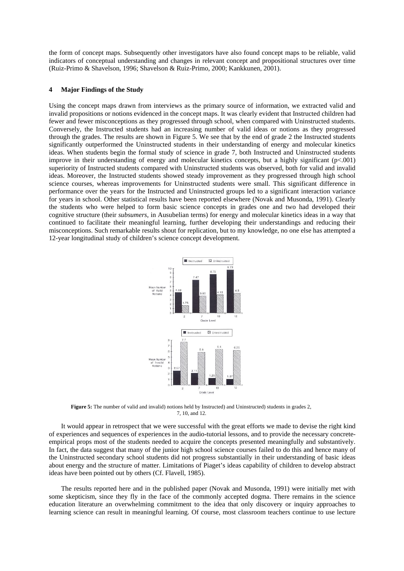the form of concept maps. Subsequently other investigators have also found concept maps to be reliable, valid indicators of conceptual understanding and changes in relevant concept and propositional structures over time (Ruiz-Primo & Shavelson, 1996; Shavelson & Ruiz-Primo, 2000; Kankkunen, 2001).

#### **4 Major Findings of the Study**

Using the concept maps drawn from interviews as the primary source of information, we extracted valid and invalid propositions or notions evidenced in the concept maps. It was clearly evident that Instructed children had fewer and fewer misconceptions as they progressed through school, when compared with Uninstructed students. Conversely, the Instructed students had an increasing number of valid ideas or notions as they progressed through the grades. The results are shown in Figure 5. We see that by the end of grade 2 the Instructed students significantly outperformed the Uninstructed students in their understanding of energy and molecular kinetics ideas. When students begin the formal study of science in grade 7, both Instructed and Uninstructed students improve in their understanding of energy and molecular kinetics concepts, but a highly significant  $(p<.001)$ superiority of Instructed students compared with Uninstructed students was observed, both for valid and invalid ideas. Moreover, the Instructed students showed steady improvement as they progressed through high school science courses, whereas improvements for Uninstructed students were small. This significant difference in performance over the years for the Instructed and Uninstructed groups led to a significant interaction variance for years in school. Other statistical results have been reported elsewhere (Novak and Musonda, 1991). Clearly the students who were helped to form basic science concepts in grades one and two had developed their cognitive structure (their *subsumers*, in Ausubelian terms) for energy and molecular kinetics ideas in a way that continued to facilitate their meaningful learning, further developing their understandings and reducing their misconceptions. Such remarkable results shout for replication, but to my knowledge, no one else has attempted a 12-year longitudinal study of children's science concept development.



**Figure 5:** The number of valid and invalid) notions held by Instructed) and Uninstructed) students in grades 2, 7, 10, and 12*.*

It would appear in retrospect that we were successful with the great efforts we made to devise the right kind of experiences and sequences of experiences in the audio-tutorial lessons, and to provide the necessary concreteempirical props most of the students needed to acquire the concepts presented meaningfully and substantively. In fact, the data suggest that many of the junior high school science courses failed to do this and hence many of the Uninstructed secondary school students did not progress substantially in their understanding of basic ideas about energy and the structure of matter. Limitations of Piaget's ideas capability of children to develop abstract ideas have been pointed out by others (Cf. Flavell, 1985).

The results reported here and in the published paper (Novak and Musonda, 1991) were initially met with some skepticism, since they fly in the face of the commonly accepted dogma. There remains in the science education literature an overwhelming commitment to the idea that only discovery or inquiry approaches to learning science can result in meaningful learning. Of course, most classroom teachers continue to use lecture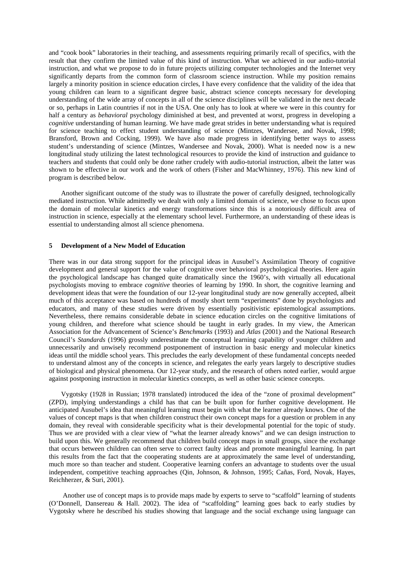and "cook book" laboratories in their teaching, and assessments requiring primarily recall of specifics, with the result that they confirm the limited value of this kind of instruction. What we achieved in our audio-tutorial instruction, and what we propose to do in future projects utilizing computer technologies and the Internet very significantly departs from the common form of classroom science instruction. While my position remains largely a minority position in science education circles, I have every confidence that the validity of the idea that young children can learn to a significant degree basic, abstract science concepts necessary for developing understanding of the wide array of concepts in all of the science disciplines will be validated in the next decade or so, perhaps in Latin countries if not in the USA. One only has to look at where we were in this country for half a century as *behavioral* psychology diminished at best, and prevented at worst, progress in developing a *cognitive* understanding of human learning. We have made great strides in better understanding what is required for science teaching to effect student understanding of science (Mintzes, Wandersee, and Novak, 1998; Bransford, Brown and Cocking, 1999). We have also made progress in identifying better ways to assess student's understanding of science (Mintzes, Wandersee and Novak, 2000). What is needed now is a new longitudinal study utilizing the latest technological resources to provide the kind of instruction and guidance to teachers and students that could only be done rather crudely with audio-tutorial instruction, albeit the latter was shown to be effective in our work and the work of others (Fisher and MacWhinney, 1976). This new kind of program is described below.

Another significant outcome of the study was to illustrate the power of carefully designed, technologically mediated instruction. While admittedly we dealt with only a limited domain of science, we chose to focus upon the domain of molecular kinetics and energy transformations since this is a notoriously difficult area of instruction in science, especially at the elementary school level. Furthermore, an understanding of these ideas is essential to understanding almost all science phenomena.

## **5 Development of a New Model of Education**

There was in our data strong support for the principal ideas in Ausubel's Assimilation Theory of cognitive development and general support for the value of cognitive over behavioral psychological theories. Here again the psychological landscape has changed quite dramatically since the 1960's, with virtually all educational psychologists moving to embrace *cognitive* theories of learning by 1990. In short, the cognitive learning and development ideas that were the foundation of our 12-year longitudinal study are now generally accepted, albeit much of this acceptance was based on hundreds of mostly short term "experiments" done by psychologists and educators, and many of these studies were driven by essentially positivistic epistemological assumptions. Nevertheless, there remains considerable debate in science education circles on the cognitive limitations of young children, and therefore what science should be taught in early grades. In my view, the American Association for the Advancement of Science's *Benchmarks* (1993) and *Atlas* (2001) and the National Research Council's *Standards* (1996) grossly underestimate the conceptual learning capability of younger children and unnecessarily and unwisely recommend postponement of instruction in basic energy and molecular kinetics ideas until the middle school years. This precludes the early development of these fundamental concepts needed to understand almost any of the concepts in science, and relegates the early years largely to descriptive studies of biological and physical phenomena. Our 12-year study, and the research of others noted earlier, would argue against postponing instruction in molecular kinetics concepts, as well as other basic science concepts.

Vygotsky (1928 in Russian; 1978 translated) introduced the idea of the "zone of proximal development" (ZPD), implying understandings a child has that can be built upon for further cognitive development. He anticipated Ausubel's idea that meaningful learning must begin with what the learner already knows. One of the values of concept maps is that when children construct their own concept maps for a question or problem in any domain, they reveal with considerable specificity what is their developmental potential for the topic of study. Thus we are provided with a clear view of "what the learner already knows" and we can design instruction to build upon this. We generally recommend that children build concept maps in small groups, since the exchange that occurs between children can often serve to correct faulty ideas and promote meaningful learning. In part this results from the fact that the cooperating students are at approximately the same level of understanding, much more so than teacher and student. Cooperative learning confers an advantage to students over the usual independent, competitive teaching approaches (Qin, Johnson, & Johnson, 1995; Cañas, Ford, Novak, Hayes, Reichherzer, & Suri, 2001).

 Another use of concept maps is to provide maps made by experts to serve to "scaffold" learning of students (O'Donnell, Dansereau & Hall. 2002). The idea of "scaffolding" learning goes back to early studies by Vygotsky where he described his studies showing that language and the social exchange using language can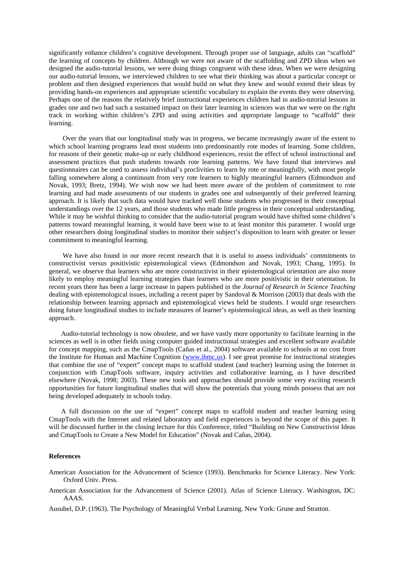significantly enhance children's cognitive development. Through proper use of language, adults can "scaffold" the learning of concepts by children. Although we were not aware of the scaffolding and ZPD ideas when we designed the audio-tutorial lessons, we were doing things congruent with these ideas. When we were designing our audio-tutorial lessons, we interviewed children to see what their thinking was about a particular concept or problem and then designed experiences that would build on what they knew and would extend their ideas by providing hands-on experiences and appropriate scientific vocabulary to explain the events they were observing. Perhaps one of the reasons the relatively brief instructional experiences children had in audio-tutorial lessons in grades one and two had such a sustained impact on their later learning in sciences was that we were on the right track in working within children's ZPD and using activities and appropriate language to "scaffold" their learning.

 Over the years that our longitudinal study was in progress, we became increasingly aware of the extent to which school learning programs lead most students into predominantly rote modes of learning. Some children, for reasons of their genetic make-up or early childhood experiences, resist the effect of school instructional and assessment practices that push students towards rote learning patterns. We have found that interviews and questionnaires can be used to assess individual's proclivities to learn by rote or meaningfully, with most people falling somewhere along a continuum from very rote learners to highly meaningful learners (Edmondson and Novak, 1993; Bretz, 1994). We wish now we had been more aware of the problem of commitment to rote learning and had made assessments of our students in grades one and subsequently of their preferred learning approach. It is likely that such data would have tracked well those students who progressed in their conceptual understandings over the 12 years, and those students who made little progress in their conceptual understanding. While it may be wishful thinking to consider that the audio-tutorial program would have shifted some children's patterns toward meaningful learning, it would have been wise to at least monitor this parameter. I would urge other researchers doing longitudinal studies to monitor their subject's disposition to learn with greater or lesser commitment to meaningful learning.

 We have also found in our more recent research that it is useful to assess individuals' commitments to constructivist versus positivistic epistemological views (Edmondson and Novak, 1993; Chang, 1995). In general, we observe that learners who are more constructivist in their epistemological orientation are also more likely to employ meaningful learning strategies than learners who are more positivistic in their orientation. In recent years there has been a large increase in papers published in the *Journal of Research in Science Teaching* dealing with epistemological issues, including a recent paper by Sandoval & Morrison (2003) that deals with the relationship between learning approach and epistemological views held be students. I would urge researchers doing future longitudinal studies to include measures of learner's epistemological ideas, as well as their learning approach.

Audio-tutorial technology is now obsolete, and we have vastly more opportunity to facilitate learning in the sciences as well is in other fields using computer guided instructional strategies and excellent software available for concept mapping, such as the CmapTools (Cañas et al., 2004) software available to schools at no cost from the Institute for Human and Machine Cognition (www.ihmc.us). I see great promise for instructional strategies that combine the use of "expert" concept maps to scaffold student (and teacher) learning using the Internet in conjunction with CmapTools software, inquiry activities and collaborative learning, as I have described elsewhere (Novak, 1998; 2003). These new tools and approaches should provide some very exciting research opportunities for future longitudinal studies that will show the potentials that young minds possess that are not being developed adequately in schools today.

A full discussion on the use of "expert" concept maps to scaffold student and teacher learning using CmapTools with the Internet and related laboratory and field experiences is beyond the scope of this paper. It will be discussed further in the closing lecture for this Conference, titled "Building on New Constructivist Ideas" and CmapTools to Create a New Model for Education" (Novak and Cañas, 2004).

#### **References**

- American Association for the Advancement of Science (1993). Benchmarks for Science Literacy. New York: Oxford Univ. Press.
- American Association for the Advancement of Science (2001). Atlas of Science Literacy. Washington, DC: AAAS.

Ausubel, D.P. (1963). The Psychology of Meaningful Verbal Learning. New York: Grune and Stratton.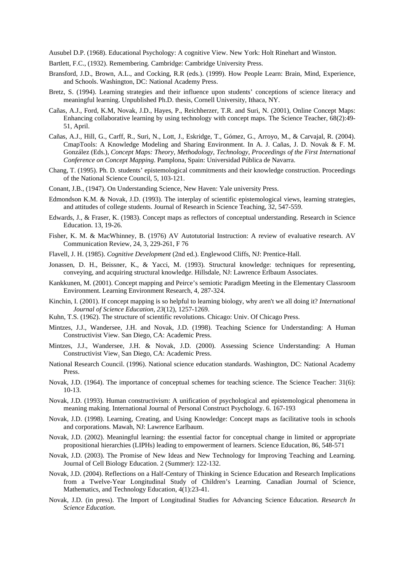Ausubel D.P. (1968). Educational Psychology: A cognitive View. New York: Holt Rinehart and Winston.

- Bartlett, F.C., (1932). Remembering. Cambridge: Cambridge University Press.
- Bransford, J.D., Brown, A.L., and Cocking, R.R (eds.). (1999). How People Learn: Brain, Mind, Experience, and Schools. Washington, DC: National Academy Press.
- Bretz, S. (1994). Learning strategies and their influence upon students' conceptions of science literacy and meaningful learning. Unpublished Ph.D. thesis, Cornell University, Ithaca, NY.
- Cañas, A.J., Ford, K.M, Novak, J.D., Hayes, P., Reichherzer, T.R. and Suri, N. (2001), Online Concept Maps: Enhancing collaborative learning by using technology with concept maps. The Science Teacher, 68(2):49- 51, April.
- Cañas, A.J., Hill, G., Carff, R., Suri, N., Lott, J., Eskridge, T., Gómez, G., Arroyo, M., & Carvajal, R. (2004). CmapTools: A Knowledge Modeling and Sharing Environment. In A. J. Cañas, J. D. Novak & F. M. González (Eds.), *Concept Maps: Theory, Methodology, Technology, Proceedings of the First International Conference on Concept Mapping*. Pamplona, Spain: Universidad Pública de Navarra.
- Chang, T. (1995). Ph. D. students' epistemological commitments and their knowledge construction. Proceedings of the National Science Council, 5, 103-121.
- Conant, J.B., (1947). On Understanding Science, New Haven: Yale university Press.
- Edmondson K.M. & Novak, J.D. (1993). The interplay of scientific epistemological views, learning strategies, and attitudes of college students. Journal of Research in Science Teaching, 32, 547-559.
- Edwards, J., & Fraser, K. (1983). Concept maps as reflectors of conceptual understanding. Research in Science Education. 13, 19-26.
- Fisher, K. M. & MacWhinney, B. (1976) AV Autotutorial Instruction: A review of evaluative research. AV Communication Review, 24, 3, 229-261, F 76
- Flavell, J. H. (1985). *Cognitive Development* (2nd ed.). Englewood Cliffs, NJ: Prentice-Hall.
- Jonassen, D. H., Beissner, K., & Yacci, M. (1993). Structural knowledge: techniques for representing, conveying, and acquiring structural knowledg*e*. Hillsdale, NJ: Lawrence Erlbaum Associates.
- Kankkunen, M. (2001). Concept mapping and Peirce's semiotic Paradigm Meeting in the Elementary Classroom Environment. Learning Environment Research, 4, 287-324.
- Kinchin, I. (2001). If concept mapping is so helpful to learning biology, why aren't we all doing it? *International Journal of Science Education, 23*(12), 1257-1269.
- Kuhn, T.S. (1962). The structure of scientific revolutions. Chicago: Univ. Of Chicago Press.
- Mintzes, J.J., Wandersee, J.H. and Novak, J.D. (1998). Teaching Science for Understanding: A Human Constructivist View*.* San Diego, CA: Academic Press.
- Mintzes, J.J., Wandersee, J.H. & Novak, J.D. (2000). Assessing Science Understanding: A Human Constructivist View. San Diego, CA: Academic Press.
- National Research Council. (1996). National science education standards. Washington, DC: National Academy Press.
- Novak, J.D. (1964). The importance of conceptual schemes for teaching science. The Science Teacher: 31(6): 10-13.
- Novak, J.D. (1993). Human constructivism: A unification of psychological and epistemological phenomena in meaning making. International Journal of Personal Construct Psychology. 6. 167-193
- Novak, J.D. (1998). Learning, Creating, and Using Knowledge: Concept maps as facilitative tools in schools and corporations. Mawah, NJ: Lawrence Earlbaum.
- Novak, J.D. (2002). Meaningful learning: the essential factor for conceptual change in limited or appropriate propositional hierarchies (LIPHs) leading to empowerment of learners. Science Education, 86, 548-571
- Novak, J.D. (2003). The Promise of New Ideas and New Technology for Improving Teaching and Learning. Journal of Cell Biology Education. 2 (Summer): 122-132.
- Novak, J.D. (2004). Reflections on a Half-Century of Thinking in Science Education and Research Implications from a Twelve-Year Longitudinal Study of Children's Learning. Canadian Journal of Science, Mathematics, and Technology Education, 4(1):23-41.
- Novak, J.D. (in press). The Import of Longitudinal Studies for Advancing Science Education. *Research In Science Education*.